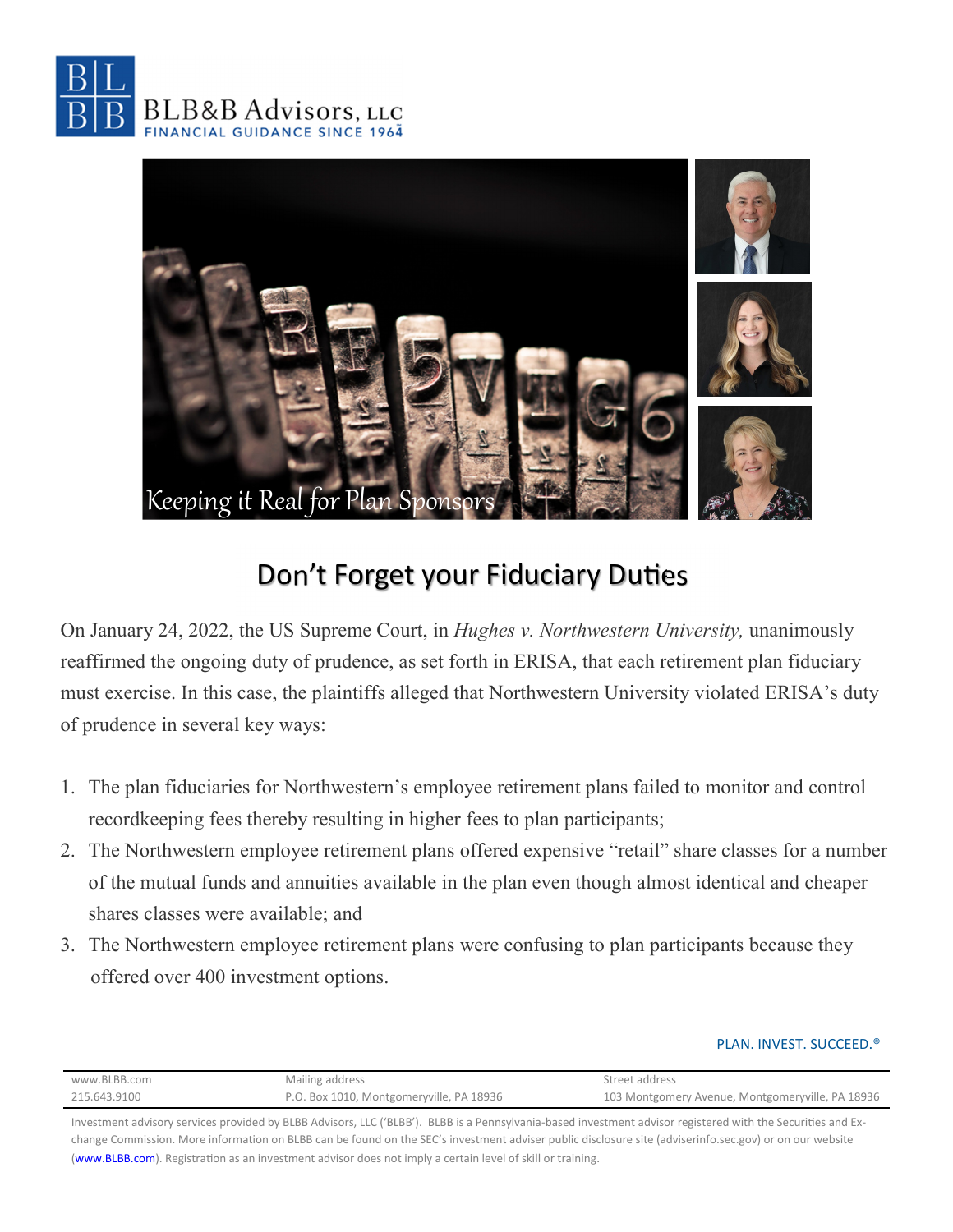



## Don't Forget your Fiduciary Duties

On January 24, 2022, the US Supreme Court, in *Hughes v. Northwestern University,* unanimously reaffirmed the ongoing duty of prudence, as set forth in ERISA, that each retirement plan fiduciary must exercise. In this case, the plaintiffs alleged that Northwestern University violated ERISA's duty of prudence in several key ways:

- 1. The plan fiduciaries for Northwestern's employee retirement plans failed to monitor and control recordkeeping fees thereby resulting in higher fees to plan participants;
- 2. The Northwestern employee retirement plans offered expensive "retail" share classes for a number of the mutual funds and annuities available in the plan even though almost identical and cheaper shares classes were available; and
- 3. The Northwestern employee retirement plans were confusing to plan participants because they offered over 400 investment options.

## PLAN. INVEST. SUCCEED.®

| www.BLBB.com | Mailing address                          | Street address                                   |
|--------------|------------------------------------------|--------------------------------------------------|
| 215.643.9100 | P.O. Box 1010, Montgomeryville, PA 18936 | 103 Montgomery Avenue, Montgomeryville, PA 18936 |

Investment advisory services provided by BLBB Advisors, LLC ('BLBB'). BLBB is a Pennsylvania-based investment advisor registered with the Securities and Exchange Commission. More information on BLBB can be found on the SEC's investment adviser public disclosure site (adviserinfo.sec.gov) or on our website (www.BLBB.com). Registration as an investment advisor does not imply a certain level of skill or training.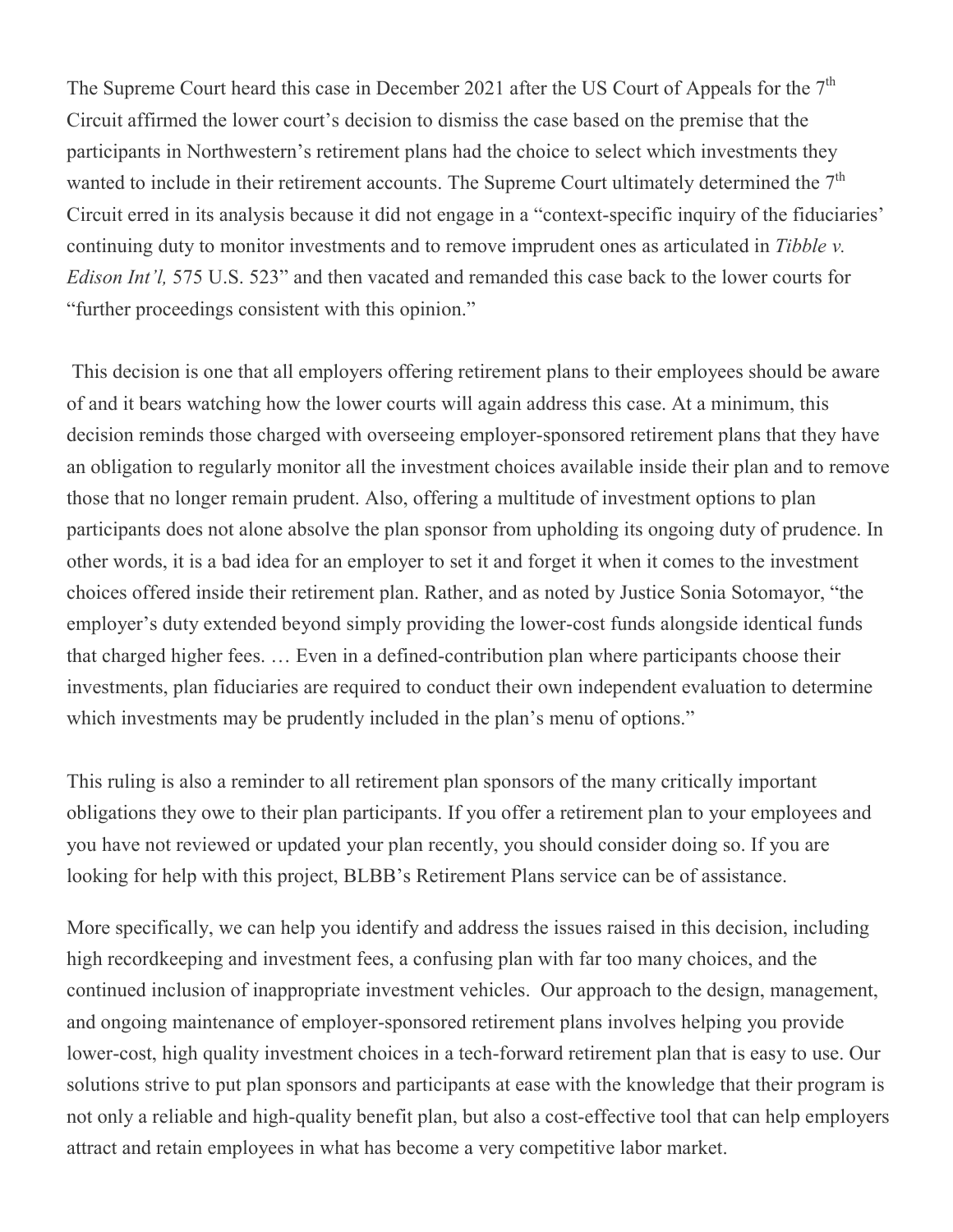The Supreme Court heard this case in December 2021 after the US Court of Appeals for the  $7<sup>th</sup>$ Circuit affirmed the lower court's decision to dismiss the case based on the premise that the participants in Northwestern's retirement plans had the choice to select which investments they wanted to include in their retirement accounts. The Supreme Court ultimately determined the  $7<sup>th</sup>$ Circuit erred in its analysis because it did not engage in a "context-specific inquiry of the fiduciaries' continuing duty to monitor investments and to remove imprudent ones as articulated in *Tibble v. Edison Int'l,* 575 U.S. 523" and then vacated and remanded this case back to the lower courts for "further proceedings consistent with this opinion."

This decision is one that all employers offering retirement plans to their employees should be aware of and it bears watching how the lower courts will again address this case. At a minimum, this decision reminds those charged with overseeing employer-sponsored retirement plans that they have an obligation to regularly monitor all the investment choices available inside their plan and to remove those that no longer remain prudent. Also, offering a multitude of investment options to plan participants does not alone absolve the plan sponsor from upholding its ongoing duty of prudence. In other words, it is a bad idea for an employer to set it and forget it when it comes to the investment choices offered inside their retirement plan. Rather, and as noted by Justice Sonia Sotomayor, "the employer's duty extended beyond simply providing the lower-cost funds alongside identical funds that charged higher fees. … Even in a defined-contribution plan where participants choose their investments, plan fiduciaries are required to conduct their own independent evaluation to determine which investments may be prudently included in the plan's menu of options."

This ruling is also a reminder to all retirement plan sponsors of the many critically important obligations they owe to their plan participants. If you offer a retirement plan to your employees and you have not reviewed or updated your plan recently, you should consider doing so. If you are looking for help with this project, BLBB's Retirement Plans service can be of assistance.

More specifically, we can help you identify and address the issues raised in this decision, including high recordkeeping and investment fees, a confusing plan with far too many choices, and the continued inclusion of inappropriate investment vehicles. Our approach to the design, management, and ongoing maintenance of employer-sponsored retirement plans involves helping you provide lower-cost, high quality investment choices in a tech-forward retirement plan that is easy to use. Our solutions strive to put plan sponsors and participants at ease with the knowledge that their program is not only a reliable and high-quality benefit plan, but also a cost-effective tool that can help employers attract and retain employees in what has become a very competitive labor market.